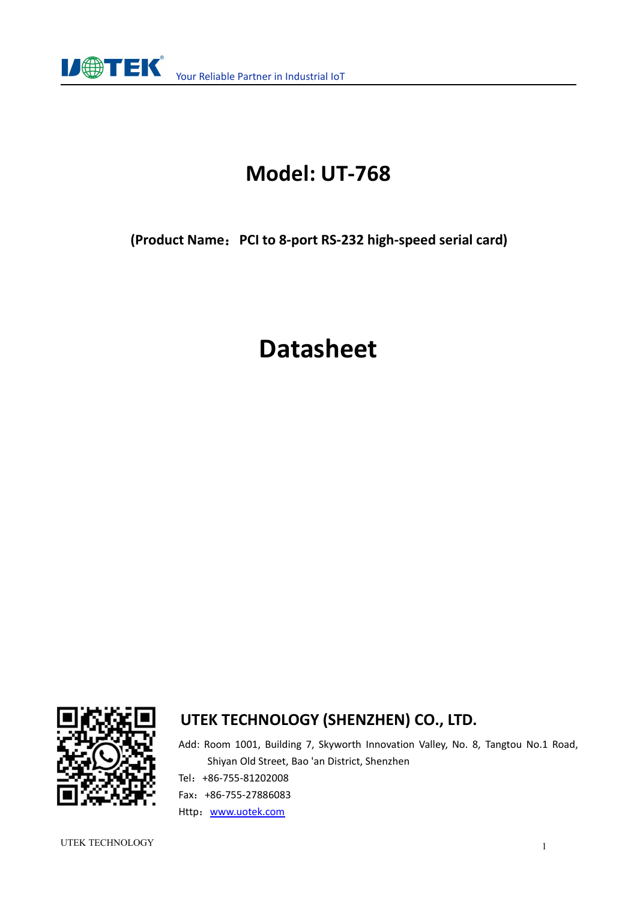

# **Model: UT-768**

**(Product Name**:**PCI to 8-port RS-232 high-speed serial card)**

# **Datasheet**



### **UTEK TECHNOLOGY (SHENZHEN) CO., LTD.**

Add: Room 1001, Building 7, Skyworth Innovation Valley, No. 8, Tangtou No.1 Road, Shiyan Old Street, Bao 'an District, Shenzhen Tel:+86-755-81202008 Fax:+86-755-27886083 Http: [www.uotek.com](http://www.uotek.com)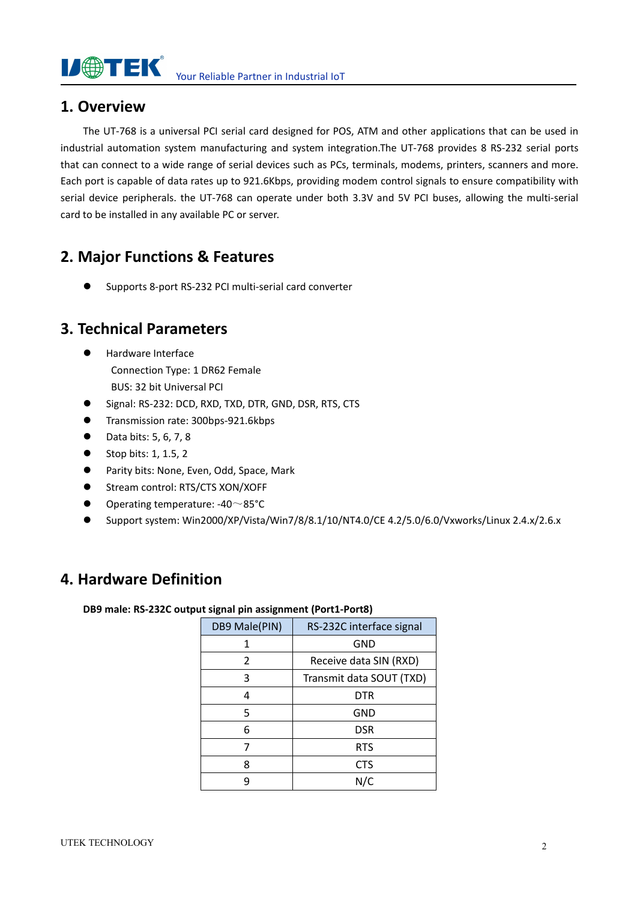

Your Reliable Partner in Industrial IoT

#### **1. Overview**

The UT-768 is a universal PCI serial card designed for POS, ATM and other applications that can be used in industrial automation system manufacturing and system integration.The UT-768 provides 8 RS-232 serial ports that can connect to a wide range of serial devices such as PCs, terminals, modems, printers, scanners and more. Each port is capable of data rates up to 921.6Kbps, providing modem control signals to ensure compatibility with serial device peripherals. the UT-768 can operate under both 3.3V and 5V PCI buses, allowing the multi-serial card to be installed in any available PC or server.

#### **2. Major Functions & Features**

Supports 8-port RS-232 PCI multi-serial card converter

#### **3. Technical Parameters**

- Hardware Interface Connection Type: 1 DR62 Female BUS: 32 bit Universal PCI
- G Signal: RS-232: DCD, RXD, TXD, DTR, GND, DSR, RTS, CTS
- **Transmission rate: 300bps-921.6kbps**
- $\bullet$  Data bits: 5, 6, 7, 8
- $\bullet$  Stop bits: 1, 1.5, 2
- Parity bits: None, Even, Odd, Space, Mark
- Stream control: RTS/CTS XON/XOFF
- $\bullet$  Operating temperature: -40 ~85°C
- Support system: Win2000/XP/Vista/Win7/8/8.1/10/NT4.0/CE 4.2/5.0/6.0/Vxworks/Linux 2.4.x/2.6.x

#### **4. Hardware Definition**

**DB9 male: RS-232C output signal pin assignment (Port1-Port8)**

| DB9 Male(PIN) | RS-232C interface signal |
|---------------|--------------------------|
| 1             | <b>GND</b>               |
| 2             | Receive data SIN (RXD)   |
| 3             | Transmit data SOUT (TXD) |
| 4             | <b>DTR</b>               |
| 5             | <b>GND</b>               |
| 6             | <b>DSR</b>               |
|               | <b>RTS</b>               |
| 8             | <b>CTS</b>               |
| q             | N/C                      |